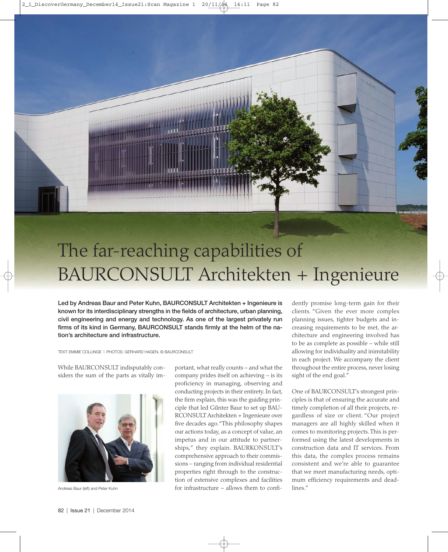# The far-reaching capabilities of BAURCONSULT Architekten + Ingenieure

Led by Andreas Baur and Peter Kuhn, BAURCONSULT Architekten + Ingenieure is known for its interdisciplinary strengths in the fields of architecture, urban planning, civil engineering and energy and technology. As one of the largest privately run firms of its kind in Germany, BAURCONSULT stands firmly at the helm of the nation's architecture and infrastructure.

TEXT: EMMIE COLLINGE | PHOTOS: GERHARD HAGEN, © BAURCONSULT

While BAURCONSULT indisputably considers the sum of the parts as vitally im-



Andreas Baur (left) and Peter Kuhn

portant, what really counts – and what the company prides itself on achieving – is its proficiency in managing, observing and conducting projects in their entirety. In fact, the firm explain, this was the guiding principle that led Gu**̈**nter Baur to set up BAU-RCONSULT Architekten + Ingenieure over five decades ago."This philosophy shapes our actions today, as a concept of value, an impetus and in our attitude to partnerships," they explain. BAURKONSULT's comprehensive approach to their commissions – ranging from individual residential properties right through to the construction of extensive complexes and facilities for infrastructure – allows them to confidently promise long-term gain for their clients. "Given the ever more complex planning issues, tighter budgets and increasing requirements to be met, the architecture and engineering involved has to be as complete as possible – while still allowing for individuality and inimitability in each project. We accompany the client throughout the entire process, never losing sight of the end goal."

One of BAURCONSULT's strongest principles is that of ensuring the accurate and timely completion of all their projects, regardless of size or client. "Our project managers are all highly skilled when it comes to monitoring projects. This is performed using the latest developments in construction data and IT services. From this data, the complex process remains consistent and we're able to guarantee that we meet manufacturing needs, optimum efficiency requirements and deadlines."